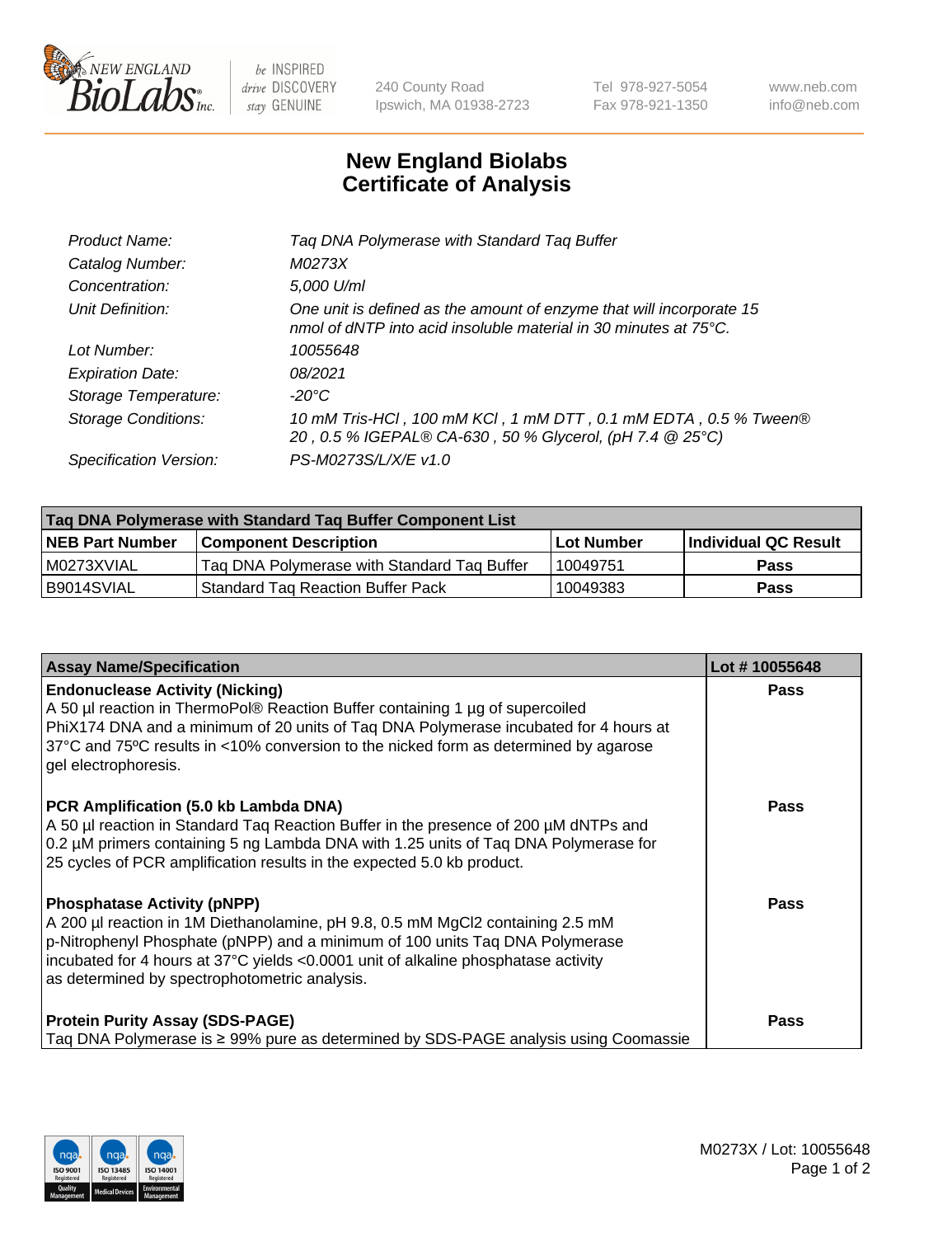

 $be$  INSPIRED drive DISCOVERY stay GENUINE

240 County Road Ipswich, MA 01938-2723 Tel 978-927-5054 Fax 978-921-1350 www.neb.com info@neb.com

## **New England Biolabs Certificate of Analysis**

| Tag DNA Polymerase with Standard Tag Buffer                                                                                              |
|------------------------------------------------------------------------------------------------------------------------------------------|
| M0273X                                                                                                                                   |
| 5,000 U/ml                                                                                                                               |
| One unit is defined as the amount of enzyme that will incorporate 15<br>nmol of dNTP into acid insoluble material in 30 minutes at 75°C. |
| 10055648                                                                                                                                 |
| 08/2021                                                                                                                                  |
| $-20^{\circ}$ C                                                                                                                          |
| 10 mM Tris-HCl, 100 mM KCl, 1 mM DTT, 0.1 mM EDTA, 0.5 % Tween®<br>20, 0.5 % IGEPAL® CA-630, 50 % Glycerol, (pH 7.4 @ 25°C)              |
| PS-M0273S/L/X/E v1.0                                                                                                                     |
|                                                                                                                                          |

| Tag DNA Polymerase with Standard Tag Buffer Component List |                                             |                   |                      |  |
|------------------------------------------------------------|---------------------------------------------|-------------------|----------------------|--|
| <b>NEB Part Number</b>                                     | Component Description_                      | <b>Lot Number</b> | Individual QC Result |  |
| I M0273XVIAL                                               | Tag DNA Polymerase with Standard Tag Buffer | 10049751          | Pass                 |  |
| B9014SVIAL                                                 | <b>Standard Tag Reaction Buffer Pack</b>    | 10049383          | <b>Pass</b>          |  |

| <b>Assay Name/Specification</b>                                                                                                                                                                                                                                                                                                             | Lot #10055648 |
|---------------------------------------------------------------------------------------------------------------------------------------------------------------------------------------------------------------------------------------------------------------------------------------------------------------------------------------------|---------------|
| <b>Endonuclease Activity (Nicking)</b><br>A 50 µl reaction in ThermoPol® Reaction Buffer containing 1 µg of supercoiled<br>PhiX174 DNA and a minimum of 20 units of Taq DNA Polymerase incubated for 4 hours at<br>37°C and 75°C results in <10% conversion to the nicked form as determined by agarose<br>gel electrophoresis.             | Pass          |
| PCR Amplification (5.0 kb Lambda DNA)<br>A 50 µl reaction in Standard Taq Reaction Buffer in the presence of 200 µM dNTPs and<br>0.2 µM primers containing 5 ng Lambda DNA with 1.25 units of Taq DNA Polymerase for<br>25 cycles of PCR amplification results in the expected 5.0 kb product.                                              | Pass          |
| <b>Phosphatase Activity (pNPP)</b><br>A 200 µl reaction in 1M Diethanolamine, pH 9.8, 0.5 mM MgCl2 containing 2.5 mM<br>p-Nitrophenyl Phosphate (pNPP) and a minimum of 100 units Taq DNA Polymerase<br>incubated for 4 hours at 37°C yields <0.0001 unit of alkaline phosphatase activity<br>as determined by spectrophotometric analysis. | Pass          |
| <b>Protein Purity Assay (SDS-PAGE)</b><br>Taq DNA Polymerase is $\geq$ 99% pure as determined by SDS-PAGE analysis using Coomassie                                                                                                                                                                                                          | <b>Pass</b>   |